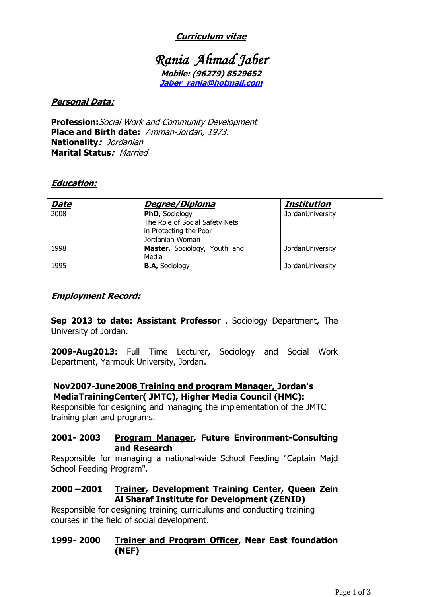## **Curriculum vitae**

# *Rania Ahmad Jaber*  **Mobile: (96279) 8529652 [Jaber\\_rania@hotmail.com](mailto:Jaber_rania@hotmail.com)**

#### **Personal Data:**

**Profession:**Social Work and Community Development **Place and Birth date:** Amman-Jordan, 1973. **Nationality:** Jordanian **Marital Status:** Married

#### **Education:**

| <b>Date</b> | Degree/Diploma                 | Institution      |
|-------------|--------------------------------|------------------|
| 2008        | PhD, Sociology                 | JordanUniversity |
|             | The Role of Social Safety Nets |                  |
|             | in Protecting the Poor         |                  |
|             | Jordanian Woman                |                  |
| 1998        | Master, Sociology, Youth and   | JordanUniversity |
|             | Media                          |                  |
| 1995        | <b>B.A, Sociology</b>          | JordanUniversity |

#### **Employment Record:**

**Sep 2013 to date: Assistant Professor** , Sociology Department, The University of Jordan.

**2009-Aug2013:** Full Time Lecturer, Sociology and Social Work Department, Yarmouk University, Jordan.

### **Nov2007-June2008 Training and program Manager, Jordan's MediaTrainingCenter( JMTC), Higher Media Council (HMC):**

Responsible for designing and managing the implementation of the JMTC training plan and programs.

#### **2001- 2003 Program Manager, Future Environment-Consulting and Research**

Responsible for managing a national-wide School Feeding "Captain Majd School Feeding Program".

### **2000 –2001 Trainer, Development Training Center, Queen Zein Al Sharaf Institute for Development (ZENID)**

Responsible for designing training curriculums and conducting training courses in the field of social development.

### **1999- 2000 Trainer and Program Officer, Near East foundation (NEF)**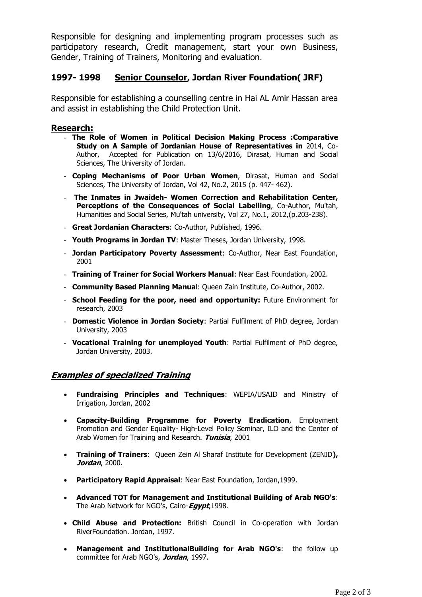Responsible for designing and implementing program processes such as participatory research, Credit management, start your own Business, Gender, Training of Trainers, Monitoring and evaluation.

#### **1997- 1998 Senior Counselor, Jordan River Foundation( JRF)**

Responsible for establishing a counselling centre in Hai AL Amir Hassan area and assist in establishing the Child Protection Unit.

#### **Research:**

- **The Role of Women in Political Decision Making Process :Comparative Study on A Sample of Jordanian House of Representatives in** 2014, Co-Author, Accepted for Publication on 13/6/2016, Dirasat, Human and Social Sciences, The University of Jordan.
- **Coping Mechanisms of Poor Urban Women**, Dirasat, Human and Social Sciences, The University of Jordan, Vol 42, No.2, 2015 (p. 447- 462).
- **The Inmates in Jwaideh- Women Correction and Rehabilitation Center, Perceptions of the Consequences of Social Labelling**, Co-Author, Mu'tah, Humanities and Social Series, Mu'tah university, Vol 27, No.1, 2012,(p.203-238).
- **Great Jordanian Characters**: Co-Author, Published, 1996.
- **Youth Programs in Jordan TV**: Master Theses, Jordan University, 1998.
- **Jordan Participatory Poverty Assessment**: Co-Author, Near East Foundation, 2001
- **Training of Trainer for Social Workers Manual**: Near East Foundation, 2002.
- **Community Based Planning Manua**l: Queen Zain Institute, Co-Author, 2002.
- **School Feeding for the poor, need and opportunity:** Future Environment for research, 2003
- **Domestic Violence in Jordan Society**: Partial Fulfilment of PhD degree, Jordan University, 2003
- **Vocational Training for unemployed Youth**: Partial Fulfilment of PhD degree, Jordan University, 2003.

### **Examples of specialized Training**

- **Fundraising Principles and Techniques**: WEPIA/USAID and Ministry of Irrigation, Jordan, 2002
- **Capacity-Building Programme for Poverty Eradication**, Employment Promotion and Gender Equality- High-Level Policy Seminar, ILO and the Center of Arab Women for Training and Research. **Tunisia**, 2001
- **Training of Trainers**: Queen Zein Al Sharaf Institute for Development (ZENID**), Jordan**, 2000**.**
- **Participatory Rapid Appraisal**: Near East Foundation, Jordan,1999.
- **Advanced TOT for Management and Institutional Building of Arab NGO's**: The Arab Network for NGO's, Cairo-**Egypt**,1998.
- **Child Abuse and Protection:** British Council in Co-operation with Jordan RiverFoundation. Jordan, 1997.
- **Management and InstitutionalBuilding for Arab NGO's**: the follow up committee for Arab NGO's, **Jordan**, 1997.